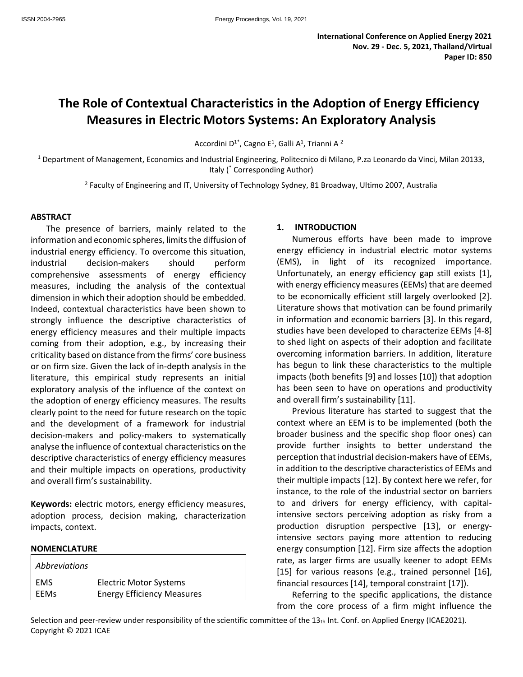# **The Role of Contextual Characteristics in the Adoption of Energy Efficiency Measures in Electric Motors Systems: An Exploratory Analysis**

Accordini D<sup>1\*</sup>, Cagno E<sup>1</sup>, Galli A<sup>1</sup>, Trianni A <sup>2</sup>

<sup>1</sup> Department of Management, Economics and Industrial Engineering, Politecnico di Milano, P.za Leonardo da Vinci, Milan 20133, Italy (\* Corresponding Author)

2 Faculty of Engineering and IT, University of Technology Sydney, 81 Broadway, Ultimo 2007, Australia

#### **ABSTRACT**

The presence of barriers, mainly related to the information and economic spheres, limits the diffusion of industrial energy efficiency. To overcome this situation, industrial decision-makers should perform comprehensive assessments of energy efficiency measures, including the analysis of the contextual dimension in which their adoption should be embedded. Indeed, contextual characteristics have been shown to strongly influence the descriptive characteristics of energy efficiency measures and their multiple impacts coming from their adoption, e.g., by increasing their criticality based on distance from the firms' core business or on firm size. Given the lack of in-depth analysis in the literature, this empirical study represents an initial exploratory analysis of the influence of the context on the adoption of energy efficiency measures. The results clearly point to the need for future research on the topic and the development of a framework for industrial decision-makers and policy-makers to systematically analyse the influence of contextual characteristics on the descriptive characteristics of energy efficiency measures and their multiple impacts on operations, productivity and overall firm's sustainability.

**Keywords:** electric motors, energy efficiency measures, adoption process, decision making, characterization impacts, context.

#### **NOMENCLATURE**

| Abbreviations |                                   |
|---------------|-----------------------------------|
| l ems         | <b>Electric Motor Systems</b>     |
| l EEMs        | <b>Energy Efficiency Measures</b> |

#### **1. INTRODUCTION**

Numerous efforts have been made to improve energy efficiency in industrial electric motor systems (EMS), in light of its recognized importance. Unfortunately, an energy efficiency gap still exists [1], with energy efficiency measures (EEMs) that are deemed to be economically efficient still largely overlooked [2]. Literature shows that motivation can be found primarily in information and economic barriers [3]. In this regard, studies have been developed to characterize EEMs [4-8] to shed light on aspects of their adoption and facilitate overcoming information barriers. In addition, literature has begun to link these characteristics to the multiple impacts (both benefits [9] and losses [10]) that adoption has been seen to have on operations and productivity and overall firm's sustainability [11].

Previous literature has started to suggest that the context where an EEM is to be implemented (both the broader business and the specific shop floor ones) can provide further insights to better understand the perception that industrial decision-makers have of EEMs, in addition to the descriptive characteristics of EEMs and their multiple impacts [12]. By context here we refer, for instance, to the role of the industrial sector on barriers to and drivers for energy efficiency, with capitalintensive sectors perceiving adoption as risky from a production disruption perspective [13], or energyintensive sectors paying more attention to reducing energy consumption [12]. Firm size affects the adoption rate, as larger firms are usually keener to adopt EEMs [15] for various reasons (e.g., trained personnel [16], financial resources [14], temporal constraint [17]).

Referring to the specific applications, the distance from the core process of a firm might influence the

Selection and peer-review under responsibility of the scientific committee of the  $13<sub>th</sub>$  Int. Conf. on Applied Energy (ICAE2021). Copyright © 2021 ICAE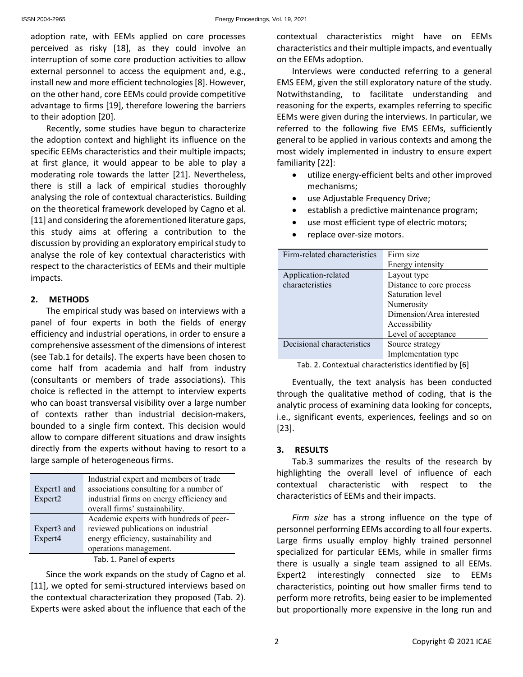adoption rate, with EEMs applied on core processes perceived as risky [18], as they could involve an interruption of some core production activities to allow external personnel to access the equipment and, e.g., install new and more efficient technologies [8]. However, on the other hand, core EEMs could provide competitive advantage to firms [19], therefore lowering the barriers to their adoption [20].

Recently, some studies have begun to characterize the adoption context and highlight its influence on the specific EEMs characteristics and their multiple impacts; at first glance, it would appear to be able to play a moderating role towards the latter [21]. Nevertheless, there is still a lack of empirical studies thoroughly analysing the role of contextual characteristics. Building on the theoretical framework developed by Cagno et al. [11] and considering the aforementioned literature gaps, this study aims at offering a contribution to the discussion by providing an exploratory empirical study to analyse the role of key contextual characteristics with respect to the characteristics of EEMs and their multiple impacts.

## **2. METHODS**

The empirical study was based on interviews with a panel of four experts in both the fields of energy efficiency and industrial operations, in order to ensure a comprehensive assessment of the dimensions of interest (see Tab.1 for details). The experts have been chosen to come half from academia and half from industry (consultants or members of trade associations). This choice is reflected in the attempt to interview experts who can boast transversal visibility over a large number of contexts rather than industrial decision-makers, bounded to a single firm context. This decision would allow to compare different situations and draw insights directly from the experts without having to resort to a large sample of heterogeneous firms.

| Expert1 and         | Industrial expert and members of trade<br>associations consulting for a number of |  |  |
|---------------------|-----------------------------------------------------------------------------------|--|--|
| Expert <sub>2</sub> | industrial firms on energy efficiency and                                         |  |  |
|                     | overall firms' sustainability.                                                    |  |  |
|                     | Academic experts with hundreds of peer-                                           |  |  |
| Expert3 and         | reviewed publications on industrial                                               |  |  |
| Expert4             | energy efficiency, sustainability and                                             |  |  |
|                     | operations management.                                                            |  |  |
|                     | Tab. 1. Panel of experts                                                          |  |  |

Since the work expands on the study of Cagno et al. [11], we opted for semi-structured interviews based on the contextual characterization they proposed (Tab. 2). Experts were asked about the influence that each of the contextual characteristics might have on EEMs characteristics and their multiple impacts, and eventually on the EEMs adoption.

Interviews were conducted referring to a general EMS EEM, given the still exploratory nature of the study. Notwithstanding, to facilitate understanding and reasoning for the experts, examples referring to specific EEMs were given during the interviews. In particular, we referred to the following five EMS EEMs, sufficiently general to be applied in various contexts and among the most widely implemented in industry to ensure expert familiarity [22]:

- utilize energy-efficient belts and other improved mechanisms;
- use Adjustable Frequency Drive;
- establish a predictive maintenance program;
- use most efficient type of electric motors;
- replace over-size motors.

| Firm-related characteristics | Firm size                 |  |  |
|------------------------------|---------------------------|--|--|
|                              | Energy intensity          |  |  |
| Application-related          | Layout type               |  |  |
| characteristics              | Distance to core process  |  |  |
|                              | Saturation level          |  |  |
|                              | Numerosity                |  |  |
|                              | Dimension/Area interested |  |  |
|                              | Accessibility             |  |  |
|                              | Level of acceptance       |  |  |
| Decisional characteristics   | Source strategy           |  |  |
|                              | Implementation type       |  |  |
|                              |                           |  |  |

Tab. 2. Contextual characteristics identified by [6]

Eventually, the text analysis has been conducted through the qualitative method of coding, that is the analytic process of examining data looking for concepts, i.e., significant events, experiences, feelings and so on [23].

## **3. RESULTS**

Tab.3 summarizes the results of the research by highlighting the overall level of influence of each contextual characteristic with respect to the characteristics of EEMs and their impacts.

*Firm size* has a strong influence on the type of personnel performing EEMs according to all four experts. Large firms usually employ highly trained personnel specialized for particular EEMs, while in smaller firms there is usually a single team assigned to all EEMs. Expert2 interestingly connected size to EEMs characteristics, pointing out how smaller firms tend to perform more retrofits, being easier to be implemented but proportionally more expensive in the long run and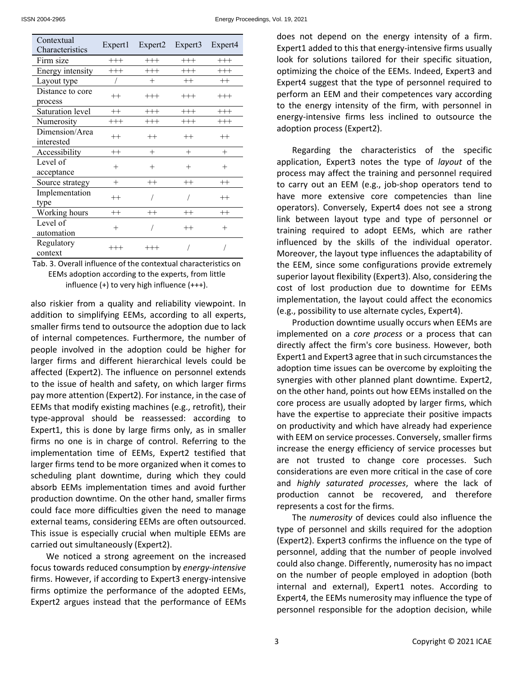| Contextual<br>Characteristics | Expert1  | Expert <sub>2</sub> | Expert <sub>3</sub> | Expert <sub>4</sub> |
|-------------------------------|----------|---------------------|---------------------|---------------------|
| Firm size                     | $^{+++}$ | $^{+++}$            | $^{+++}$            | $^{+++}$            |
| Energy intensity              | $^{+++}$ | $^{+++}$            | $^{+++}$            | $^{+++}$            |
| Layout type                   |          | $^{+}$              | $^{++}$             | $++$                |
| Distance to core              | $^{++}$  | $^{+++}$            | $^{+++}$            | $^{+++}$            |
| process                       |          |                     |                     |                     |
| Saturation level              | $^{++}$  | $^{+++}$            | $^{+++}$            | $+++$               |
| Numerosity                    | $^{+++}$ | $^{+++}$            | $+++$               | $^{+++}$            |
| Dimension/Area<br>interested  | $^{++}$  | $^{++}$             | $++$                | $^{++}$             |
| Accessibility                 | $^{++}$  | $^{+}$              | $^{+}$              | $^{+}$              |
| Level of<br>acceptance        | $^{+}$   | $^{+}$              | $^{+}$              | $^{+}$              |
| Source strategy               | $^{+}$   | $^{++}$             | $^{++}$             | $^{++}$             |
| Implementation<br>type        | $^{++}$  |                     |                     | $^{++}$             |
| Working hours                 | $^{++}$  | $^{++}$             | $^{++}$             | $++$                |
| Level of<br>automation        | $^{+}$   |                     | $^{++}$             | $^{+}$              |
| Regulatory<br>context         | $^{+++}$ | $^{+++}$            |                     |                     |

Tab. 3. Overall influence of the contextual characteristics on EEMs adoption according to the experts, from little influence (+) to very high influence (+++).

also riskier from a quality and reliability viewpoint. In addition to simplifying EEMs, according to all experts, smaller firms tend to outsource the adoption due to lack of internal competences. Furthermore, the number of people involved in the adoption could be higher for larger firms and different hierarchical levels could be affected (Expert2). The influence on personnel extends to the issue of health and safety, on which larger firms pay more attention (Expert2). For instance, in the case of EEMs that modify existing machines (e.g., retrofit), their type-approval should be reassessed: according to Expert1, this is done by large firms only, as in smaller firms no one is in charge of control. Referring to the implementation time of EEMs, Expert2 testified that larger firms tend to be more organized when it comes to scheduling plant downtime, during which they could absorb EEMs implementation times and avoid further production downtime. On the other hand, smaller firms could face more difficulties given the need to manage external teams, considering EEMs are often outsourced. This issue is especially crucial when multiple EEMs are carried out simultaneously (Expert2).

We noticed a strong agreement on the increased focus towards reduced consumption by *energy-intensive* firms. However, if according to Expert3 energy-intensive firms optimize the performance of the adopted EEMs, Expert2 argues instead that the performance of EEMs does not depend on the energy intensity of a firm. Expert1 added to this that energy-intensive firms usually look for solutions tailored for their specific situation, optimizing the choice of the EEMs. Indeed, Expert3 and Expert4 suggest that the type of personnel required to perform an EEM and their competences vary according to the energy intensity of the firm, with personnel in energy-intensive firms less inclined to outsource the adoption process (Expert2).

Regarding the characteristics of the specific application, Expert3 notes the type of *layout* of the process may affect the training and personnel required to carry out an EEM (e.g., job-shop operators tend to have more extensive core competencies than line operators). Conversely, Expert4 does not see a strong link between layout type and type of personnel or training required to adopt EEMs, which are rather influenced by the skills of the individual operator. Moreover, the layout type influences the adaptability of the EEM, since some configurations provide extremely superior layout flexibility (Expert3). Also, considering the cost of lost production due to downtime for EEMs implementation, the layout could affect the economics (e.g., possibility to use alternate cycles, Expert4).

Production downtime usually occurs when EEMs are implemented on a *core process* or a process that can directly affect the firm's core business. However, both Expert1 and Expert3 agree that in such circumstances the adoption time issues can be overcome by exploiting the synergies with other planned plant downtime. Expert2, on the other hand, points out how EEMs installed on the core process are usually adopted by larger firms, which have the expertise to appreciate their positive impacts on productivity and which have already had experience with EEM on service processes. Conversely, smaller firms increase the energy efficiency of service processes but are not trusted to change core processes. Such considerations are even more critical in the case of core and *highly saturated processes*, where the lack of production cannot be recovered, and therefore represents a cost for the firms.

The *numerosity* of devices could also influence the type of personnel and skills required for the adoption (Expert2). Expert3 confirms the influence on the type of personnel, adding that the number of people involved could also change. Differently, numerosity has no impact on the number of people employed in adoption (both internal and external), Expert1 notes. According to Expert4, the EEMs numerosity may influence the type of personnel responsible for the adoption decision, while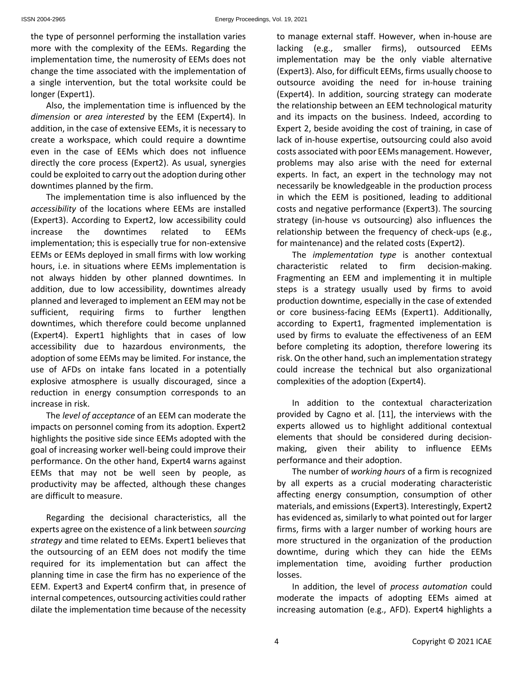the type of personnel performing the installation varies more with the complexity of the EEMs. Regarding the implementation time, the numerosity of EEMs does not change the time associated with the implementation of a single intervention, but the total worksite could be longer (Expert1).

Also, the implementation time is influenced by the *dimension* or *area interested* by the EEM (Expert4). In addition, in the case of extensive EEMs, it is necessary to create a workspace, which could require a downtime even in the case of EEMs which does not influence directly the core process (Expert2). As usual, synergies could be exploited to carry out the adoption during other downtimes planned by the firm.

The implementation time is also influenced by the *accessibility* of the locations where EEMs are installed (Expert3). According to Expert2, low accessibility could increase the downtimes related to EEMs implementation; this is especially true for non-extensive EEMs or EEMs deployed in small firms with low working hours, i.e. in situations where EEMs implementation is not always hidden by other planned downtimes. In addition, due to low accessibility, downtimes already planned and leveraged to implement an EEM may not be sufficient, requiring firms to further lengthen downtimes, which therefore could become unplanned (Expert4). Expert1 highlights that in cases of low accessibility due to hazardous environments, the adoption of some EEMs may be limited. For instance, the use of AFDs on intake fans located in a potentially explosive atmosphere is usually discouraged, since a reduction in energy consumption corresponds to an increase in risk.

The *level of acceptance* of an EEM can moderate the impacts on personnel coming from its adoption. Expert2 highlights the positive side since EEMs adopted with the goal of increasing worker well-being could improve their performance. On the other hand, Expert4 warns against EEMs that may not be well seen by people, as productivity may be affected, although these changes are difficult to measure.

Regarding the decisional characteristics, all the experts agree on the existence of a link between *sourcing strategy* and time related to EEMs. Expert1 believes that the outsourcing of an EEM does not modify the time required for its implementation but can affect the planning time in case the firm has no experience of the EEM. Expert3 and Expert4 confirm that, in presence of internal competences, outsourcing activities could rather dilate the implementation time because of the necessity to manage external staff. However, when in-house are lacking (e.g., smaller firms), outsourced EEMs implementation may be the only viable alternative (Expert3). Also, for difficult EEMs, firms usually choose to outsource avoiding the need for in-house training (Expert4). In addition, sourcing strategy can moderate the relationship between an EEM technological maturity and its impacts on the business. Indeed, according to Expert 2, beside avoiding the cost of training, in case of lack of in-house expertise, outsourcing could also avoid costs associated with poor EEMs management. However, problems may also arise with the need for external experts. In fact, an expert in the technology may not necessarily be knowledgeable in the production process in which the EEM is positioned, leading to additional costs and negative performance (Expert3). The sourcing strategy (in-house vs outsourcing) also influences the relationship between the frequency of check-ups (e.g., for maintenance) and the related costs (Expert2).

The *implementation type* is another contextual characteristic related to firm decision-making. Fragmenting an EEM and implementing it in multiple steps is a strategy usually used by firms to avoid production downtime, especially in the case of extended or core business-facing EEMs (Expert1). Additionally, according to Expert1, fragmented implementation is used by firms to evaluate the effectiveness of an EEM before completing its adoption, therefore lowering its risk. On the other hand, such an implementation strategy could increase the technical but also organizational complexities of the adoption (Expert4).

In addition to the contextual characterization provided by Cagno et al. [11], the interviews with the experts allowed us to highlight additional contextual elements that should be considered during decisionmaking, given their ability to influence EEMs performance and their adoption.

The number of *working hours* of a firm is recognized by all experts as a crucial moderating characteristic affecting energy consumption, consumption of other materials, and emissions (Expert3). Interestingly, Expert2 has evidenced as, similarly to what pointed out for larger firms, firms with a larger number of working hours are more structured in the organization of the production downtime, during which they can hide the EEMs implementation time, avoiding further production losses.

In addition, the level of *process automation* could moderate the impacts of adopting EEMs aimed at increasing automation (e.g., AFD). Expert4 highlights a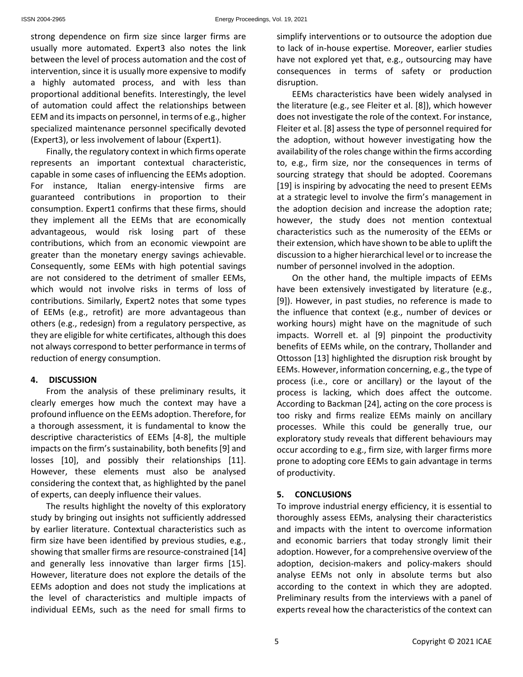strong dependence on firm size since larger firms are usually more automated. Expert3 also notes the link between the level of process automation and the cost of intervention, since it is usually more expensive to modify a highly automated process, and with less than proportional additional benefits. Interestingly, the level of automation could affect the relationships between EEM and its impacts on personnel, in terms of e.g., higher specialized maintenance personnel specifically devoted (Expert3), or less involvement of labour (Expert1).

Finally, the regulatory context in which firms operate represents an important contextual characteristic, capable in some cases of influencing the EEMs adoption. For instance, Italian energy-intensive firms are guaranteed contributions in proportion to their consumption. Expert1 confirms that these firms, should they implement all the EEMs that are economically advantageous, would risk losing part of these contributions, which from an economic viewpoint are greater than the monetary energy savings achievable. Consequently, some EEMs with high potential savings are not considered to the detriment of smaller EEMs, which would not involve risks in terms of loss of contributions. Similarly, Expert2 notes that some types of EEMs (e.g., retrofit) are more advantageous than others (e.g., redesign) from a regulatory perspective, as they are eligible for white certificates, although this does not always correspond to better performance in terms of reduction of energy consumption.

## **4. DISCUSSION**

From the analysis of these preliminary results, it clearly emerges how much the context may have a profound influence on the EEMs adoption. Therefore, for a thorough assessment, it is fundamental to know the descriptive characteristics of EEMs [4-8], the multiple impacts on the firm's sustainability, both benefits [9] and losses [10], and possibly their relationships [11]. However, these elements must also be analysed considering the context that, as highlighted by the panel of experts, can deeply influence their values.

The results highlight the novelty of this exploratory study by bringing out insights not sufficiently addressed by earlier literature. Contextual characteristics such as firm size have been identified by previous studies, e.g., showing that smaller firms are resource-constrained [14] and generally less innovative than larger firms [15]. However, literature does not explore the details of the EEMs adoption and does not study the implications at the level of characteristics and multiple impacts of individual EEMs, such as the need for small firms to simplify interventions or to outsource the adoption due to lack of in-house expertise. Moreover, earlier studies have not explored yet that, e.g., outsourcing may have consequences in terms of safety or production disruption.

EEMs characteristics have been widely analysed in the literature (e.g., see Fleiter et al. [8]), which however does not investigate the role of the context. For instance, Fleiter et al. [8] assess the type of personnel required for the adoption, without however investigating how the availability of the roles change within the firms according to, e.g., firm size, nor the consequences in terms of sourcing strategy that should be adopted. Cooremans [19] is inspiring by advocating the need to present EEMs at a strategic level to involve the firm's management in the adoption decision and increase the adoption rate; however, the study does not mention contextual characteristics such as the numerosity of the EEMs or their extension, which have shown to be able to uplift the discussion to a higher hierarchical level or to increase the number of personnel involved in the adoption.

On the other hand, the multiple impacts of EEMs have been extensively investigated by literature (e.g., [9]). However, in past studies, no reference is made to the influence that context (e.g., number of devices or working hours) might have on the magnitude of such impacts. Worrell et. al [9] pinpoint the productivity benefits of EEMs while, on the contrary, Thollander and Ottosson [13] highlighted the disruption risk brought by EEMs. However, information concerning, e.g., the type of process (i.e., core or ancillary) or the layout of the process is lacking, which does affect the outcome. According to Backman [24], acting on the core process is too risky and firms realize EEMs mainly on ancillary processes. While this could be generally true, our exploratory study reveals that different behaviours may occur according to e.g., firm size, with larger firms more prone to adopting core EEMs to gain advantage in terms of productivity.

## **5. CONCLUSIONS**

To improve industrial energy efficiency, it is essential to thoroughly assess EEMs, analysing their characteristics and impacts with the intent to overcome information and economic barriers that today strongly limit their adoption. However, for a comprehensive overview of the adoption, decision-makers and policy-makers should analyse EEMs not only in absolute terms but also according to the context in which they are adopted. Preliminary results from the interviews with a panel of experts reveal how the characteristics of the context can